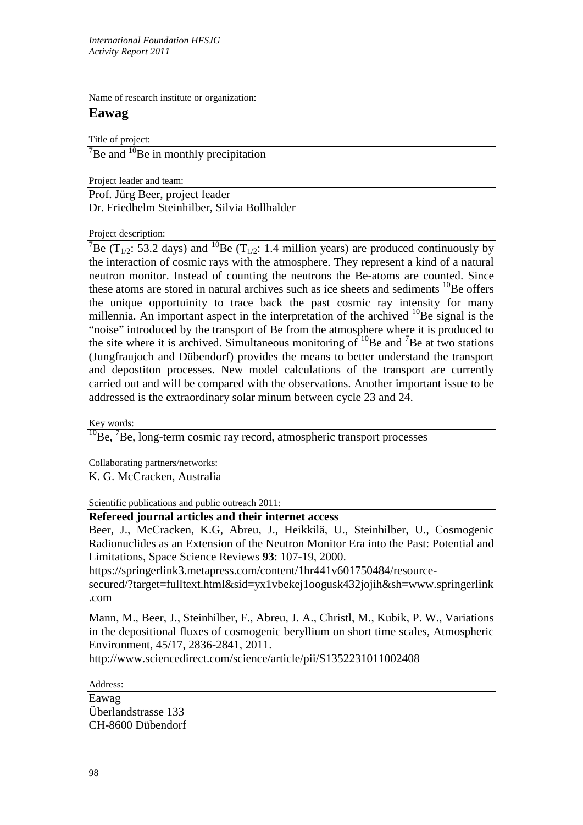Name of research institute or organization:

## **Eawag**

Title of project:

 $\mathrm{^{7}Be}$  and  $\mathrm{^{10}Be}$  in monthly precipitation

Project leader and team:

Prof. Jürg Beer, project leader Dr. Friedhelm Steinhilber, Silvia Bollhalder

Project description:

<sup>7</sup>Be (T<sub>1/2</sub>: 53.2 days) and <sup>10</sup>Be (T<sub>1/2</sub>: 1.4 million years) are produced continuously by the interaction of cosmic rays with the atmosphere. They represent a kind of a natural neutron monitor. Instead of counting the neutrons the Be-atoms are counted. Since these atoms are stored in natural archives such as ice sheets and sediments  $^{10}$ Be offers the unique opportuinity to trace back the past cosmic ray intensity for many millennia. An important aspect in the interpretation of the archived  $^{10}$ Be signal is the "noise" introduced by the transport of Be from the atmosphere where it is produced to the site where it is archived. Simultaneous monitoring of  $^{10}$ Be and  $^{7}$ Be at two stations (Jungfraujoch and Dübendorf) provides the means to better understand the transport and depostiton processes. New model calculations of the transport are currently carried out and will be compared with the observations. Another important issue to be addressed is the extraordinary solar minum between cycle 23 and 24.

Key words:

 $10$ Be,  $7$ Be, long-term cosmic ray record, atmospheric transport processes

Collaborating partners/networks:

K. G. McCracken, Australia

Scientific publications and public outreach 2011:

## **Refereed journal articles and their internet access**

Beer, J., McCracken, K.G, Abreu, J., Heikkilä, U., Steinhilber, U., Cosmogenic Radionuclides as an Extension of the Neutron Monitor Era into the Past: Potential and Limitations, Space Science Reviews **93**: 107-19, 2000.

https://springerlink3.metapress.com/content/1hr441v601750484/resource-

secured/?target=fulltext.html&sid=yx1vbekej1oogusk432jojih&sh=www.springerlink .com

Mann, M., Beer, J., Steinhilber, F., Abreu, J. A., Christl, M., Kubik, P. W., Variations in the depositional fluxes of cosmogenic beryllium on short time scales, Atmospheric Environment, 45/17, 2836-2841, 2011.

http://www.sciencedirect.com/science/article/pii/S1352231011002408

Address:

Eawag Überlandstrasse 133 CH-8600 Dübendorf